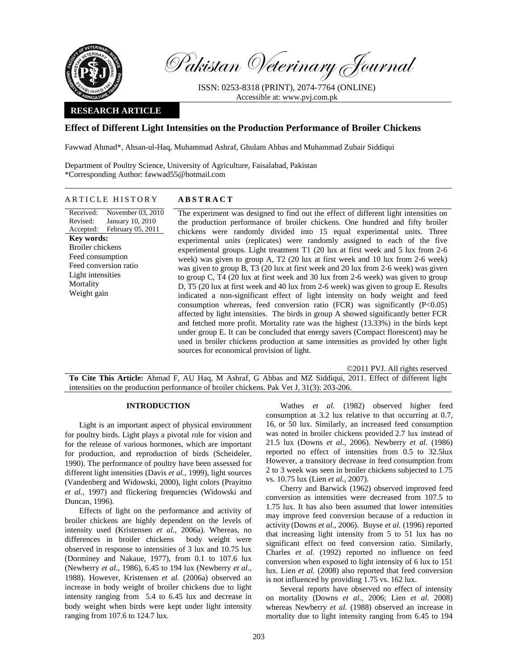

Pakistan Veterinary Journal

ISSN: 0253-8318 (PRINT), 2074-7764 (ONLINE) Accessible at: www.pvj.com.pk

# **RESEARCH ARTICLE**

# **Effect of Different Light Intensities on the Production Performance of Broiler Chickens**

Fawwad Ahmad\*, Ahsan-ul-Haq, Muhammad Ashraf, Ghulam Abbas and Muhammad Zubair Siddiqui

Department of Poultry Science, University of Agriculture, Faisalabad, Pakistan \*Corresponding Author: fawwad55@hotmail.com

## ARTICLE HISTORY **ABSTRACT**

Received: Revised: Accepted: November 03, 2010 January 10, 2010 February 05, 2011 **Key words:**  Broiler chickens Feed consumption Feed conversion ratio Light intensities **Mortality** Weight gain

The experiment was designed to find out the effect of different light intensities on the production performance of broiler chickens. One hundred and fifty broiler chickens were randomly divided into 15 equal experimental units. Three experimental units (replicates) were randomly assigned to each of the five experimental groups. Light treatment T1 (20 lux at first week and 5 lux from 2-6 week) was given to group A, T2 (20 lux at first week and 10 lux from 2-6 week) was given to group B, T3 (20 lux at first week and 20 lux from 2-6 week) was given to group C, T4 (20 lux at first week and 30 lux from 2-6 week) was given to group D, T5 (20 lux at first week and 40 lux from 2-6 week) was given to group E. Results indicated a non-significant effect of light intensity on body weight and feed consumption whereas, feed conversion ratio (FCR) was significantly  $(P<0.05)$ affected by light intensities. The birds in group A showed significantly better FCR and fetched more profit. Mortality rate was the highest (13.33%) in the birds kept under group E. It can be concluded that energy savers (Compact florescent) may be used in broiler chickens production at same intensities as provided by other light sources for economical provision of light.

©2011 PVJ. All rights reserved

**To Cite This Article:** Ahmad F, AU Haq, M Ashraf, G Abbas and MZ Siddiqui, 2011. Effect of different light intensities on the production performance of broiler chickens. Pak Vet J, 31(3): 203-206.

## **INTRODUCTION**

Light is an important aspect of physical environment for poultry birds. Light plays a pivotal role for vision and for the release of various hormones, which are important for production, and reproduction of birds (Scheideler, 1990). The performance of poultry have been assessed for different light intensities (Davis *et al.,* 1999), light sources (Vandenberg and Widowski, 2000), light colors (Prayitno *et al.,* 1997) and flickering frequencies (Widowski and Duncan, 1996).

Effects of light on the performance and activity of broiler chickens are highly dependent on the levels of intensity used (Kristensen *et al.,* 2006a). Whereas, no differences in broiler chickens body weight were observed in response to intensities of 3 lux and 10.75 lux (Dorminey and Nakaue, 1977), from 0.1 to 107.6 lux (Newberry *et al.*, 1986), 6.45 to 194 lux (Newberry *et al.*, 1988). However, Kristensen *et al.* (2006a) observed an increase in body weight of broiler chickens due to light intensity ranging from 5.4 to 6.45 lux and decrease in body weight when birds were kept under light intensity ranging from 107.6 to 124.7 lux.

Wathes *et al.* (1982) observed higher feed consumption at 3.2 lux relative to that occurring at 0.7, 16, or 50 lux. Similarly, an increased feed consumption was noted in broiler chickens provided 2.7 lux instead of 21.5 lux (Downs *et al.*, 2006). Newberry *et al.* (1986) reported no effect of intensities from 0.5 to 32.5lux However, a transitory decrease in feed consumption from 2 to 3 week was seen in broiler chickens subjected to 1.75 vs. 10.75 lux (Lien *et al.*, 2007).

Cherry and Barwick (1962) observed improved feed conversion as intensities were decreased from 107.5 to 1.75 lux. It has also been assumed that lower intensities may improve feed conversion because of a reduction in activity (Downs *et al.*, 2006). Buyse *et al.* (1996) reported that increasing light intensity from 5 to 51 lux has no significant effect on feed conversion ratio. Similarly, Charles *et al.* (1992) reported no influence on feed conversion when exposed to light intensity of 6 lux to 151 lux. Lien *et al.* (2008) also reported that feed conversion is not influenced by providing 1.75 vs. 162 lux.

Several reports have observed no effect of intensity on mortality (Downs *et al.*, 2006; Lien *et al.* 2008) whereas Newberry *et al.* (1988) observed an increase in mortality due to light intensity ranging from 6.45 to 194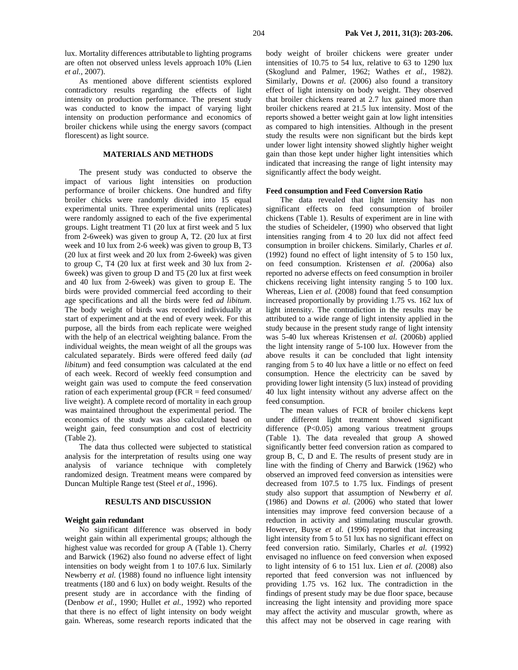lux. Mortality differences attributable to lighting programs are often not observed unless levels approach 10% (Lien *et al.*, 2007).

As mentioned above different scientists explored contradictory results regarding the effects of light intensity on production performance. The present study was conducted to know the impact of varying light intensity on production performance and economics of broiler chickens while using the energy savors (compact florescent) as light source.

## **MATERIALS AND METHODS**

The present study was conducted to observe the impact of various light intensities on production performance of broiler chickens. One hundred and fifty broiler chicks were randomly divided into 15 equal experimental units. Three experimental units (replicates) were randomly assigned to each of the five experimental groups. Light treatment T1 (20 lux at first week and 5 lux from 2-6week) was given to group A, T2. (20 lux at first week and 10 lux from 2-6 week) was given to group B, T3 (20 lux at first week and 20 lux from 2-6week) was given to group C, T4 (20 lux at first week and 30 lux from 2- 6week) was given to group D and T5 (20 lux at first week and 40 lux from 2-6week) was given to group E. The birds were provided commercial feed according to their age specifications and all the birds were fed *ad libitum*. The body weight of birds was recorded individually at start of experiment and at the end of every week. For this purpose, all the birds from each replicate were weighed with the help of an electrical weighting balance. From the individual weights, the mean weight of all the groups was calculated separately. Birds were offered feed daily (*ad libitum*) and feed consumption was calculated at the end of each week. Record of weekly feed consumption and weight gain was used to compute the feed conservation ration of each experimental group (FCR = feed consumed/ live weight). A complete record of mortality in each group was maintained throughout the experimental period. The economics of the study was also calculated based on weight gain, feed consumption and cost of electricity (Table 2).

The data thus collected were subjected to statistical analysis for the interpretation of results using one way analysis of variance technique with completely randomized design. Treatment means were compared by Duncan Multiple Range test (Steel *et al.,* 1996).

# **RESULTS AND DISCUSSION**

## **Weight gain redundant**

No significant difference was observed in body weight gain within all experimental groups; although the highest value was recorded for group A (Table 1). Cherry and Barwick (1962) also found no adverse effect of light intensities on body weight from 1 to 107.6 lux. Similarly Newberry *et al.* (1988) found no influence light intensity treatments (180 and 6 lux) on body weight. Results of the present study are in accordance with the finding of (Denbow *et al.,* 1990; Hullet *et al.,* 1992) who reported that there is no effect of light intensity on body weight gain. Whereas, some research reports indicated that the

body weight of broiler chickens were greater under intensities of 10.75 to 54 lux, relative to 63 to 1290 lux (Skoglund and Palmer, 1962; Wathes *et al.*, 1982). Similarly, Downs *et al.* (2006) also found a transitory effect of light intensity on body weight. They observed that broiler chickens reared at 2.7 lux gained more than broiler chickens reared at 21.5 lux intensity. Most of the reports showed a better weight gain at low light intensities as compared to high intensities. Although in the present study the results were non significant but the birds kept under lower light intensity showed slightly higher weight gain than those kept under higher light intensities which indicated that increasing the range of light intensity may significantly affect the body weight.

#### **Feed consumption and Feed Conversion Ratio**

The data revealed that light intensity has non significant effects on feed consumption of broiler chickens (Table 1). Results of experiment are in line with the studies of Scheideler, (1990) who observed that light intensities ranging from 4 to 20 lux did not affect feed consumption in broiler chickens. Similarly, Charles *et al.* (1992) found no effect of light intensity of 5 to 150 lux, on feed consumption. Kristensen *et al. (*2006a) also reported no adverse effects on feed consumption in broiler chickens receiving light intensity ranging 5 to 100 lux. Whereas, Lien *et al.* (2008) found that feed consumption increased proportionally by providing 1.75 vs. 162 lux of light intensity. The contradiction in the results may be attributed to a wide range of light intensity applied in the study because in the present study range of light intensity was 5-40 lux whereas Kristensen *et al.* (2006b) applied the light intensity range of 5-100 lux. However from the above results it can be concluded that light intensity ranging from 5 to 40 lux have a little or no effect on feed consumption. Hence the electricity can be saved by providing lower light intensity (5 lux) instead of providing 40 lux light intensity without any adverse affect on the feed consumption.

The mean values of FCR of broiler chickens kept under different light treatment showed significant difference (P<0.05) among various treatment groups (Table 1). The data revealed that group A showed significantly better feed conversion ration as compared to group B, C, D and E. The results of present study are in line with the finding of Cherry and Barwick (1962) who observed an improved feed conversion as intensities were decreased from 107.5 to 1.75 lux. Findings of present study also support that assumption of Newberry *et al.*  (1986) and Downs *et al.* (2006) who stated that lower intensities may improve feed conversion because of a reduction in activity and stimulating muscular growth. However, Buyse *et al.* (1996) reported that increasing light intensity from 5 to 51 lux has no significant effect on feed conversion ratio. Similarly, Charles *et al.* (1992) envisaged no influence on feed conversion when exposed to light intensity of 6 to 151 lux. Lien *et al.* (2008) also reported that feed conversion was not influenced by providing 1.75 vs. 162 lux. The contradiction in the findings of present study may be due floor space, because increasing the light intensity and providing more space may affect the activity and muscular growth, where as this affect may not be observed in cage rearing with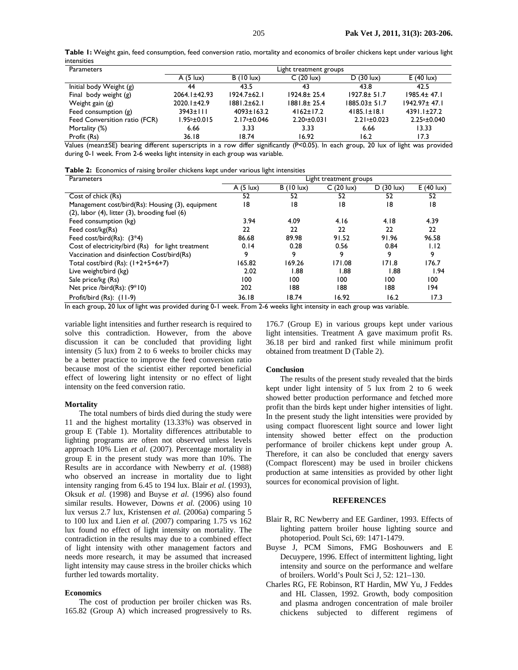**Table 1:** Weight gain, feed consumption, feed conversion ratio, mortality and economics of broiler chickens kept under various light intensities

| Parameters                    | Light treatment groups |                    |                    |                    |                    |  |
|-------------------------------|------------------------|--------------------|--------------------|--------------------|--------------------|--|
|                               | A(5  ux)               | $B(10 \text{lux})$ | $C(20 \text{lux})$ | $D(30 \text{lux})$ | $E(40 \text{lux})$ |  |
| Initial body Weight (g)       | 44                     | 43.5               | 43                 | 43.8               | 42.5               |  |
| Final body weight $(g)$       | 2064.1±42.93           | $1924.7 \pm 62.1$  | $1924.8 \pm 25.4$  | $1927.8 \pm 51.7$  | $1985.4 \pm 47.1$  |  |
| Weight gain (g)               | $2020.1 \pm 42.9$      | $1881.2 \pm 62.1$  | $1881.8 \pm 25.4$  | $1885.03 \pm 51.7$ | $1942.97 \pm 47.1$ |  |
| Feed consumption $(g)$        | $3943 \pm 111$         | $4093 \pm 163.2$   | $4162 \pm 17.2$    | $4185.1 \pm 18.1$  | $4391.1 \pm 27.2$  |  |
| Feed Conversition ratio (FCR) | $1.95b \pm 0.015$      | $2.17a + 0.046$    | $2.20a + 0.031$    | $2.21a + 0.023$    | $2.25a + 0.040$    |  |
| Mortality (%)                 | 6.66                   | 3.33               | 3.33               | 6.66               | 13.33              |  |
| Profit (Rs)                   | 36.18                  | 18.74              | 16.92              | 16.2               | 17.3               |  |

Values (mean±SE) bearing different superscripts in a row differ significantly (P<0.05). In each group, 20 lux of light was provided during 0-1 week. From 2-6 weeks light intensity in each group was variable.

| Table 2: Economics of raising broiler chickens kept under various light intensities |  |  |  |  |  |  |
|-------------------------------------------------------------------------------------|--|--|--|--|--|--|
|-------------------------------------------------------------------------------------|--|--|--|--|--|--|

| Parameters                                               | Light treatment groups |                    |            |                    |                    |
|----------------------------------------------------------|------------------------|--------------------|------------|--------------------|--------------------|
|                                                          | A(5  ux)               | $B(10 \text{lux})$ | C (20 lux) | $D(30 \text{lux})$ | $E(40 \text{lux})$ |
| Cost of chick (Rs)                                       | 52                     | 52                 | 52         | 52                 | 52                 |
| Management cost/bird(Rs): Housing (3), equipment         | 18                     | 18                 | 18         | 18                 | 18                 |
| $(2)$ , labor $(4)$ , litter $(3)$ , brooding fuel $(6)$ |                        |                    |            |                    |                    |
| Feed consumption (kg)                                    | 3.94                   | 4.09               | 4.16       | 4.18               | 4.39               |
| Feed cost/kg(Rs)                                         | 22                     | 22                 | 22         | 22                 | 22                 |
| Feed cost/bird(Rs): $(3*4)$                              | 86.68                  | 89.98              | 91.52      | 91.96              | 96.58              |
| Cost of electricity/bird (Rs) for light treatment        | 0.14                   | 0.28               | 0.56       | 0.84               | 1.12               |
| Vaccination and disinfection Cost/bird(Rs)               | 9                      | 9                  | ۰Q         | 9                  | 9                  |
| Total cost/bird (Rs): (1+2+5+6+7)                        | 165.82                 | 169.26             | 171.08     | 171.8              | 176.7              |
| Live weight/bird (kg)                                    | 2.02                   | 1.88               | 88. ا      | 88. ا              | I.94               |
| Sale price/kg (Rs)                                       | 100                    | 100                | 100        | 100                | 100                |
| Net price /bird(Rs): (9*10)                              | 202                    | 188                | 188        | 188                | 194                |
| Profit/bird (Rs): (11-9)                                 | 36.18                  | 18.74              | 16.92      | 16.2               | 17.3               |

In each group, 20 lux of light was provided during 0-1 week. From 2-6 weeks light intensity in each group was variable.

variable light intensities and further research is required to solve this contradiction. However, from the above discussion it can be concluded that providing light intensity (5 lux) from 2 to 6 weeks to broiler chicks may be a better practice to improve the feed conversion ratio because most of the scientist either reported beneficial effect of lowering light intensity or no effect of light intensity on the feed conversion ratio.

#### **Mortality**

The total numbers of birds died during the study were 11 and the highest mortality (13.33%) was observed in group E (Table 1). Mortality differences attributable to lighting programs are often not observed unless levels approach 10% Lien *et al.* (2007). Percentage mortality in group E in the present study was more than 10%. The Results are in accordance with Newberry *et al.* (1988) who observed an increase in mortality due to light intensity ranging from 6.45 to 194 lux. Blair *et al.* (1993), Oksuk *et al.* (1998) and Buyse *et al.* (1996) also found similar results. However, Downs *et al.* (2006) using 10 lux versus 2.7 lux, Kristensen *et al.* (2006a) comparing 5 to 100 lux and Lien *et al.* (2007) comparing 1.75 vs 162 lux found no effect of light intensity on mortality. The contradiction in the results may due to a combined effect of light intensity with other management factors and needs more research, it may be assumed that increased light intensity may cause stress in the broiler chicks which further led towards mortality.

## **Economics**

The cost of production per broiler chicken was Rs. 165.82 (Group A) which increased progressively to Rs. 176.7 (Group E) in various groups kept under various light intensities. Treatment A gave maximum profit Rs. 36.18 per bird and ranked first while minimum profit obtained from treatment D (Table 2).

#### **Conclusion**

The results of the present study revealed that the birds kept under light intensity of 5 lux from 2 to 6 week showed better production performance and fetched more profit than the birds kept under higher intensities of light. In the present study the light intensities were provided by using compact fluorescent light source and lower light intensity showed better effect on the production performance of broiler chickens kept under group A. Therefore, it can also be concluded that energy savers (Compact florescent) may be used in broiler chickens production at same intensities as provided by other light sources for economical provision of light.

#### **REFERENCES**

- Blair R, RC Newberry and EE Gardiner, 1993. Effects of lighting pattern broiler house lighting source and photoperiod. Poult Sci, 69: 1471-1479.
- Buyse J, PCM Simons, FMG Boshouwers and E Decuypere, 1996. Effect of intermittent lighting, light intensity and source on the performance and welfare of broilers. World's Poult Sci J, 52: 121–130.
- Charles RG, FE Robinson, RT Hardin, MW Yu, J Feddes and HL Classen, 1992. Growth, body composition and plasma androgen concentration of male broiler chickens subjected to different regimens of